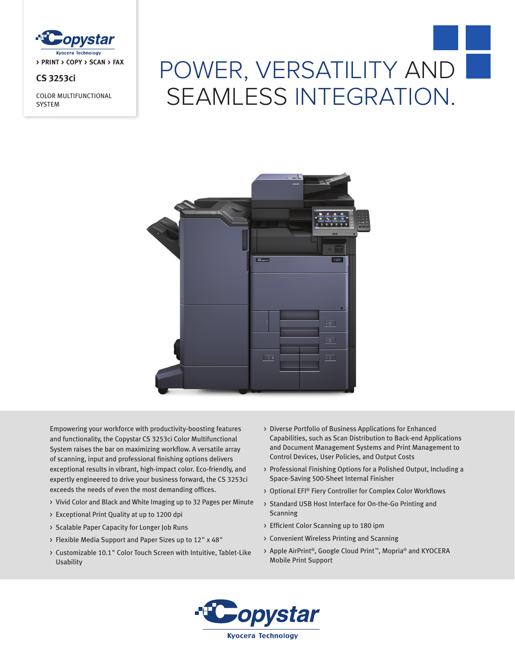

# **CS 3253ci**

COLOR MULTIFUNCTIONAL **SYSTEM** 

# POWER, VERSATILITY AND SEAMLESS INTEGRATION.



Empowering your workforce with productivity-boosting features and functionality, the Copystar CS 3253ci Color Multifunctional System raises the bar on maximizing workflow. A versatile array of scanning, input and professional finishing options delivers exceptional results in vibrant, high-impact color. Eco-friendly, and expertly engineered to drive your business forward, the CS 3253ci exceeds the needs of even the most demanding offices.

- > Vivid Color and Black and White Imaging up to 32 Pages per Minute
- > Exceptional Print Quality at up to 1200 dpi
- > Scalable Paper Capacity for Longer Job Runs
- > Flexible Media Support and Paper Sizes up to 12" x 48"
- > Customizable 10.1" Color Touch Screen with Intuitive, Tablet-Like Usability
- > Diverse Portfolio of Business Applications for Enhanced Capabilities, such as Scan Distribution to Back-end Applications and Document Management Systems and Print Management to Control Devices, User Policies, and Output Costs
- > Professional Finishing Options for a Polished Output, Including a Space-Saving 500-Sheet Internal Finisher
- > Optional EFI® Fiery Controller for Complex Color Workflows
- > Standard USB Host Interface for On-the-Go Printing and Scanning
- > Efficient Color Scanning up to 180 ipm
- > Convenient Wireless Printing and Scanning
- > Apple AirPrint®, Google Cloud Print™, Mopria® and KYOCERA Mobile Print Support